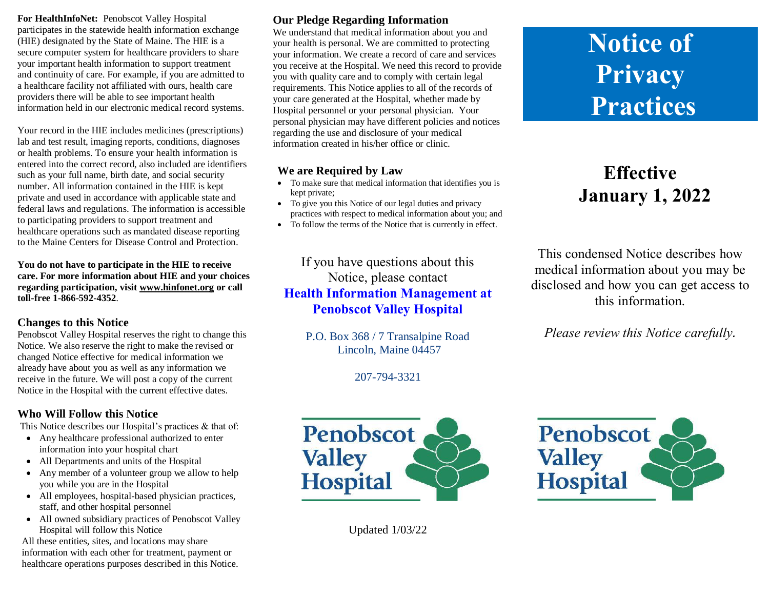**For HealthInfoNet:** Penobscot Valley Hospital participates in the statewide health information exchange (HIE) designated by the State of Maine. The HIE is a secure computer system for healthcare providers to share your important health information to support treatment and continuity of care. For example, if you are admitted to a healthcare facility not affiliated with ours, health care providers there will be able to see important health information held in our electronic medical record systems.

Your record in the HIE includes medicines (prescriptions) lab and test result, imaging reports, conditions, diagnoses or health problems. To ensure your health information is entered into the correct record, also included are identifiers such as your full name, birth date, and social security number. All information contained in the HIE is kept private and used in accordance with applicable state and federal laws and regulations. The information is accessible to participating providers to support treatment and healthcare operations such as mandated disease reporting to the Maine Centers for Disease Control and Protection.

**You do not have to participate in the HIE to receive care. For more information about HIE and your choices regarding participation, visi[t www.hinfonet.org](http://www.hinfonet.org/) or call toll-free 1-866-592-4352**.

#### **Changes to this Notice**

Penobscot Valley Hospital reserves the right to change this Notice. We also reserve the right to make the revised or changed Notice effective for medical information we already have about you as well as any information we receive in the future. We will post a copy of the current Notice in the Hospital with the current effective dates.

#### **Who Will Follow this Notice**

This Notice describes our Hospital's practices & that of:

- Any healthcare professional authorized to enter information into your hospital chart
- All Departments and units of the Hospital
- Any member of a volunteer group we allow to help you while you are in the Hospital
- All employees, hospital-based physician practices, staff, and other hospital personnel
- All owned subsidiary practices of Penobscot Valley Hospital will follow this Notice

All these entities, sites, and locations may share information with each other for treatment, payment or healthcare operations purposes described in this Notice.

### **Our Pledge Regarding Information**

We understand that medical information about you and your health is personal. We are committed to protecting your information. We create a record of care and services you receive at the Hospital. We need this record to provide you with quality care and to comply with certain legal requirements. This Notice applies to all of the records of your care generated at the Hospital, whether made by Hospital personnel or your personal physician. Your personal physician may have different policies and notices regarding the use and disclosure of your medical information created in his/her office or clinic.

#### **We are Required by Law**

- To make sure that medical information that identifies you is kept private;
- To give you this Notice of our legal duties and privacy practices with respect to medical information about you; and
- To follow the terms of the Notice that is currently in effect.

If you have questions about this Notice, please contact **Health Information Management at Penobscot Valley Hospital**

> P.O. Box 368 / 7 Transalpine Road Lincoln, Maine 04457

> > 207-794-3321



Updated 1/03/22

# **Notice of Privacy Practices**

## **Effective January 1, 2022**

This condensed Notice describes how medical information about you may be disclosed and how you can get access to this information.

*Please review this Notice carefully.*